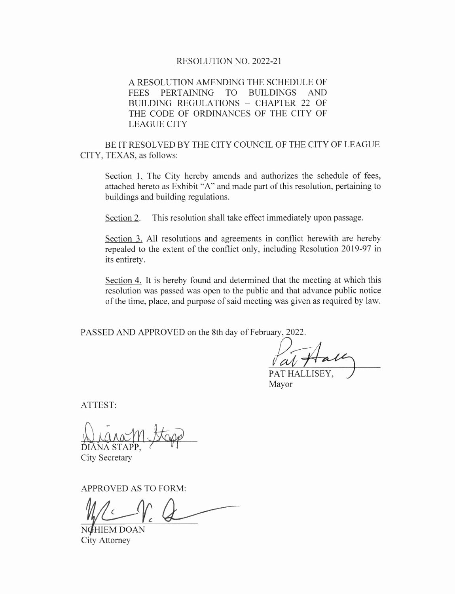# RESOLUTION NO. 2022-21

A RESOLUTION AMENDING THE SCHEDULE OF FEES PERTAINING TO BUILDINGS AND BUILDING REGULATIONS — CHAPTER 22 OF THE CODE OF ORDINANCES OF THE CITY OF LEAGUE CITY

BE IT RESOLVED BY THE CITY COUNCIL OF THE CITY OF LEAGUE CITY, TEXAS, as follows:

Section 1. The City hereby amends and authorizes the schedule of fees, attached hereto as Exhibit "A" and made part of this resolution, pertaining to buildings and building regulations.

Section 2. This resolution shall take effect immediately upon passage.

Section 3. All resolutions and agreements in conflict herewith are hereby repealed to the extent of the conflict only, including Resolution 2019-97 in its entirety.

Section 4. It is hereby found and determined that the meeting at which this resolution was passed was open to the public and that advance public notice of the time, place, and purpose of said meeting was given as required by law.

PASSED AND APPROVED on the 8th day of February, 2022.

**THALLISEY,** 

Mayor

ATTEST:

Nigram. DIÀNA STAPP,

City Secretary

APPROVED AS TO FORM:

 $\sim$ 

NGHIEM DOAN City Attorney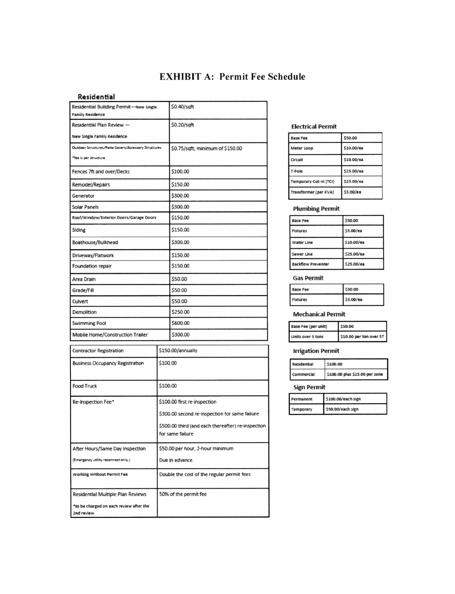# EXHIBIT A: Permit Fee Schedule

### Residential

| Residential Building Permit-New Single<br><b>Family Residence</b> |                   | \$0.40/sqft                                        |  |                           |          |                                |
|-------------------------------------------------------------------|-------------------|----------------------------------------------------|--|---------------------------|----------|--------------------------------|
| Residential Plan Review -                                         |                   | \$0.20/sqft                                        |  | <b>Electrical Permit</b>  |          |                                |
| <b>New Single Family Residence</b>                                |                   |                                                    |  | <b>Base Fee</b>           |          | 550.00                         |
| Outdoor Structures/Patio Covers/Accessory Structures              |                   | \$0.75/sqft; minimum of \$150.00                   |  | Meter Loop                |          | \$10.00/ea                     |
| "fee is per structure                                             |                   |                                                    |  | Circuit                   |          | \$10.00/ea                     |
| Fences 7ft and over/Decks                                         |                   | \$100.00                                           |  | T-Pole                    |          | \$25.00/ea                     |
| Remodel/Repairs                                                   |                   | \$150.00                                           |  | Temporary Cut-In (TCI)    |          | \$25.00/ea                     |
| Generator                                                         |                   | \$300.00                                           |  | Transformer (per KVA)     |          | \$5.00/ea                      |
| <b>Solar Panels</b>                                               |                   | \$300.00                                           |  | <b>Plumbing Permit</b>    |          |                                |
| Roof/Window/Exterior Doors/Garage Doors                           |                   | \$150.00                                           |  | <b>Base Fee</b>           |          | \$50.00                        |
| Siding                                                            |                   | \$150.00                                           |  | Fixtures                  |          | 55.00/ea                       |
| Boathouse/Bulkhead                                                |                   | \$300.00                                           |  | <b>Water Line</b>         |          | \$10.00/ea                     |
| Driveway/Flatwork                                                 |                   | \$150.00                                           |  | Sewer Line                |          | \$25.00/ea                     |
| Foundation repair                                                 |                   | \$150.00                                           |  | <b>Backflow Preventer</b> |          | \$25.00/ea                     |
| Area Drain                                                        |                   | \$50.00                                            |  | <b>Gas Permit</b>         |          |                                |
| Grade/Fill                                                        |                   | \$50.00                                            |  | <b>Base Fee</b>           |          | \$50.00                        |
| Culvert                                                           |                   | \$50.00                                            |  | Fixtures                  |          | \$5.00/ea                      |
| Demolition                                                        |                   | \$250.00                                           |  | <b>Mechanical Permit</b>  |          |                                |
| Swimming Pool                                                     |                   | \$600.00                                           |  | Base Fee (per unit)       |          | \$50.00                        |
| Mobile Home/Construction Trailer                                  |                   | \$300.00                                           |  | Units over 5 tons         |          | \$10.00 per ton over 51        |
| <b>Contractor Registration</b>                                    | \$150.00/annually |                                                    |  | <b>Irrigation Permit</b>  |          |                                |
| <b>Business Occupancy Registration</b>                            | \$100.00          |                                                    |  | Residential               | \$100.00 |                                |
|                                                                   |                   |                                                    |  | <b>Commercial</b>         |          | \$100.00 plus \$25.00 per zone |
| <b>Food Truck</b>                                                 |                   | \$100.00                                           |  | <b>Sign Permit</b>        |          |                                |
| Re-Inspection Fee*                                                |                   | \$100.00 first re-inspection                       |  | Permanent                 |          | 5100.00/each sign              |
|                                                                   |                   | \$300.00 second re-inspection for same failure     |  | Temporary                 |          | \$50.00/each sign              |
|                                                                   |                   | \$500.00 third (and each thereafter) re-inspection |  |                           |          |                                |
|                                                                   |                   | for same failure                                   |  |                           |          |                                |
| After Hours/Same Day Inspection                                   |                   | \$50.00 per hour, 2-hour minimum                   |  |                           |          |                                |
| (Emergency utility reconnect only.)                               |                   | Due in advance.                                    |  |                           |          |                                |
|                                                                   |                   |                                                    |  |                           |          |                                |
| Working Without Permit Fee                                        |                   | Double the cost of the regular permit fees         |  |                           |          |                                |
| Residential Multiple Plan Reviews                                 |                   | 50% of the permit fee                              |  |                           |          |                                |
| *to be charged on each review after the<br>2nd review             |                   |                                                    |  |                           |          |                                |

# **Electrical Permit**

| <b>Base Fee</b>        | 550.00     |
|------------------------|------------|
| Meter Loop             | \$10.00/ea |
| Circuit                | \$10.00/ea |
| T-Pole                 | \$25.00/ea |
| Temporary Cut-In (TCI) | \$25.00/ea |
| Transformer (per KVA)  | \$5.00/ea  |

| <b>Base Fee</b>    | \$50.00    |
|--------------------|------------|
| Fixtures           | 55.00/ea   |
| <b>Water Line</b>  | \$10.00/ea |
| Sewer Line         | \$25.00/ea |
| Backflow Preventer | \$25.00/ea |

### Gas Permit

| <b>Base Fee</b> | 50.00     |
|-----------------|-----------|
| Fixtures        | \$5.00/ea |

| <b>Base Fee (per unit)</b> | 0.00                    |  |
|----------------------------|-------------------------|--|
| Units over 5 tons          | \$10.00 per ton over 5T |  |

| \$100.00                       |
|--------------------------------|
| \$100.00 plus \$25.00 per zone |
|                                |

## Sign Permit

| Permanent | \$100.00/each sign |
|-----------|--------------------|
| Temporary | \$50.00/each sign  |